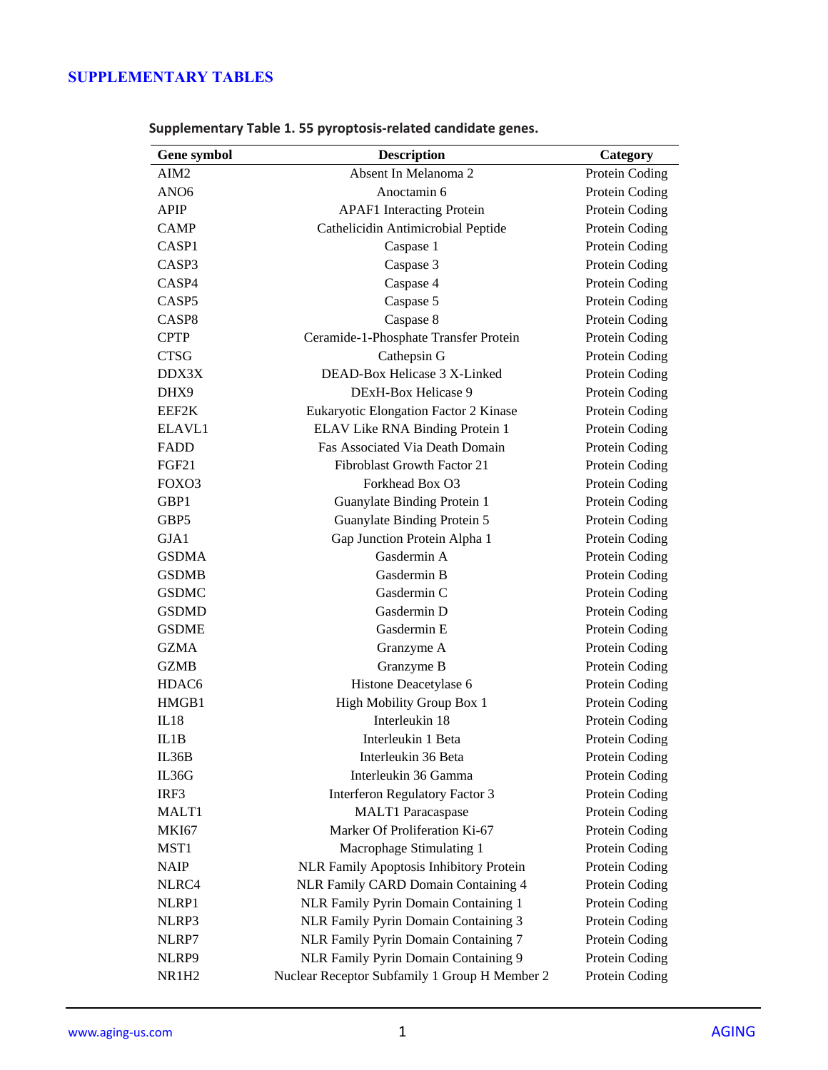## **SUPPLEMENTARY TABLES**

| Gene symbol       | <b>Description</b>                             | Category       |
|-------------------|------------------------------------------------|----------------|
| AIM2              | Absent In Melanoma 2                           | Protein Coding |
| ANO <sub>6</sub>  | Anoctamin 6                                    | Protein Coding |
| <b>APIP</b>       | <b>APAF1</b> Interacting Protein               | Protein Coding |
| <b>CAMP</b>       | Cathelicidin Antimicrobial Peptide             | Protein Coding |
| CASP <sub>1</sub> | Caspase 1                                      | Protein Coding |
| CASP3             | Caspase 3                                      | Protein Coding |
| CASP4             | Caspase 4                                      | Protein Coding |
| CASP <sub>5</sub> | Caspase 5                                      | Protein Coding |
| CASP <sub>8</sub> | Caspase 8                                      | Protein Coding |
| <b>CPTP</b>       | Ceramide-1-Phosphate Transfer Protein          | Protein Coding |
| <b>CTSG</b>       | Cathepsin G                                    | Protein Coding |
| DDX3X             | DEAD-Box Helicase 3 X-Linked                   | Protein Coding |
| DHX9              | DExH-Box Helicase 9                            | Protein Coding |
| EEF2K             | Eukaryotic Elongation Factor 2 Kinase          | Protein Coding |
| ELAVL1            | ELAV Like RNA Binding Protein 1                | Protein Coding |
| FADD              | Fas Associated Via Death Domain                | Protein Coding |
| FGF21             | Fibroblast Growth Factor 21                    | Protein Coding |
| FOXO3             | Forkhead Box O3                                | Protein Coding |
| GBP1              | Guanylate Binding Protein 1                    | Protein Coding |
| GBP5              | Guanylate Binding Protein 5                    | Protein Coding |
| GJA1              | Gap Junction Protein Alpha 1                   | Protein Coding |
| <b>GSDMA</b>      | Gasdermin A                                    | Protein Coding |
| <b>GSDMB</b>      | Gasdermin B                                    | Protein Coding |
| <b>GSDMC</b>      | Gasdermin C                                    | Protein Coding |
| <b>GSDMD</b>      | Gasdermin D                                    | Protein Coding |
| <b>GSDME</b>      | Gasdermin E                                    | Protein Coding |
| <b>GZMA</b>       | Granzyme A                                     | Protein Coding |
| <b>GZMB</b>       | Granzyme B                                     | Protein Coding |
| HDAC <sub>6</sub> | Histone Deacetylase 6                          | Protein Coding |
| HMGB1             | High Mobility Group Box 1                      | Protein Coding |
| IL18              | Interleukin 18                                 | Protein Coding |
| IL1B              | Interleukin 1 Beta                             | Protein Coding |
| IL36B             | Interleukin 36 Beta                            | Protein Coding |
| IL36G             | Interleukin 36 Gamma                           | Protein Coding |
| IRF3              | <b>Interferon Regulatory Factor 3</b>          | Protein Coding |
| MALT1             | <b>MALT1</b> Paracaspase                       | Protein Coding |
| <b>MKI67</b>      | Marker Of Proliferation Ki-67                  | Protein Coding |
| MST1              | Macrophage Stimulating 1                       | Protein Coding |
| <b>NAIP</b>       | <b>NLR Family Apoptosis Inhibitory Protein</b> | Protein Coding |
| NLRC4             | NLR Family CARD Domain Containing 4            | Protein Coding |
| NLRP1             | NLR Family Pyrin Domain Containing 1           | Protein Coding |
| NLRP3             | NLR Family Pyrin Domain Containing 3           | Protein Coding |
| NLRP7             | NLR Family Pyrin Domain Containing 7           | Protein Coding |
| NLRP9             | NLR Family Pyrin Domain Containing 9           | Protein Coding |
| <b>NR1H2</b>      | Nuclear Receptor Subfamily 1 Group H Member 2  | Protein Coding |

**Supplementary Table 1. 55 pyroptosis-related candidate genes.**